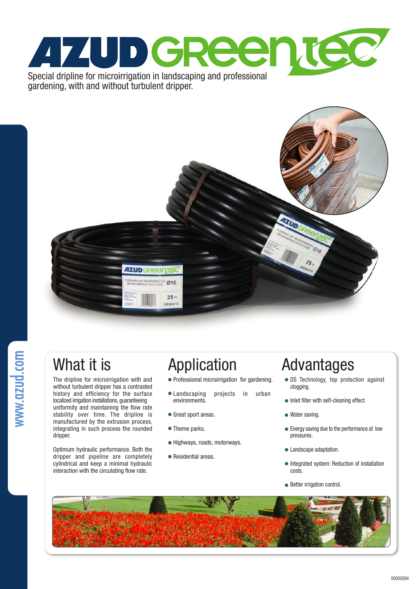

gardening, with and without turbulent dripper.



www.azud.com

The dripline for microirrigation with and without turbulent dripper has a contrasted history and efficiency for the surface localized irrigation installations, guaranteeing uniformity and maintaining the flow rate stability over time. The dripline is manufactured by the extrusion process, integrating in such process the rounded dripper.

Optimum hydraulic performance. Both the dripper and pipeline are completely cylindrical and keep a minimal hydraulic interaction with the circulating flow rate.

- Professional microirrigation for gardening.
- Landscaping projects in urban environments.
- Great sport areas.
- Theme parks.
- Highways, roads, motorways.
- Residential areas.

# What it is **Application** Advantages

- DS Technology, top protection against clogging.
- $\bullet$  Inlet filter with self-cleaning effect.
- Water saving.
- Energy saving due to the performance at low pressures.
- $\bullet$  Landscape adaptation.
- Integrated system: Reduction of installation costs.
- **Better irrigation control.**